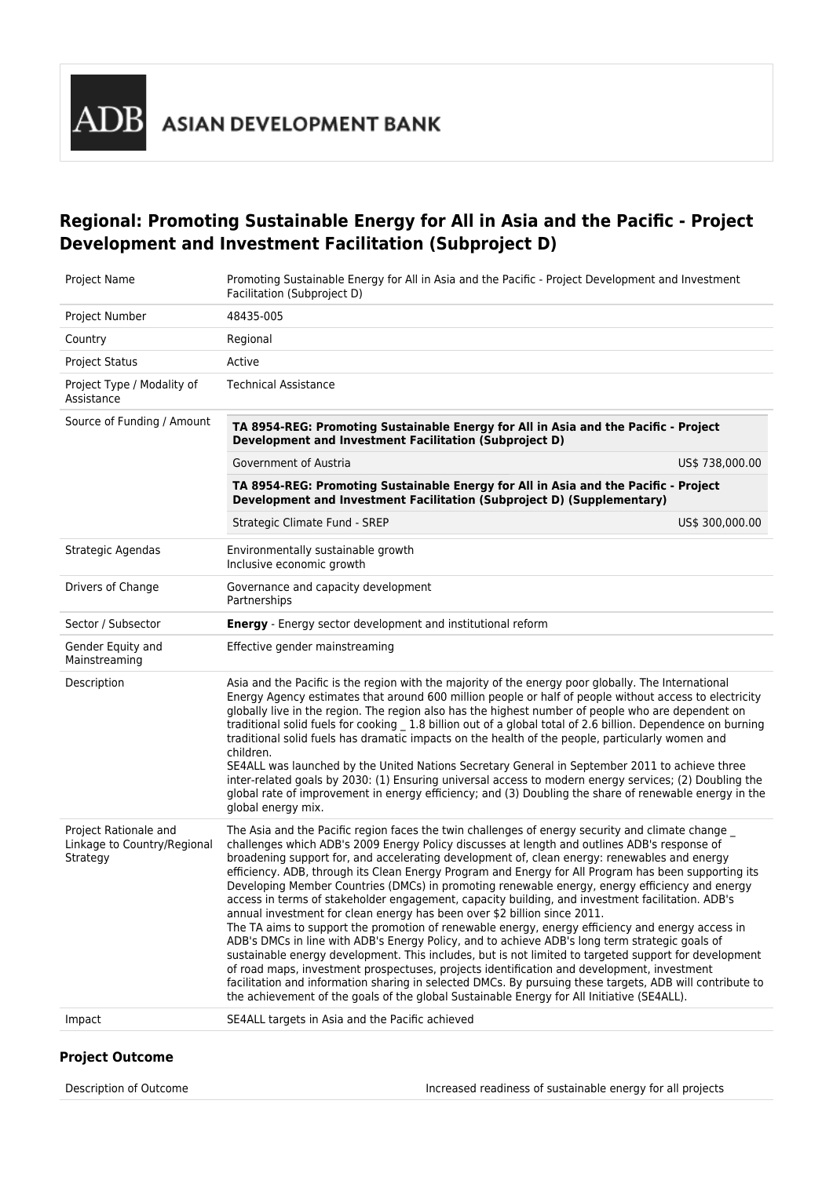

**ASIAN DEVELOPMENT BANK** 

# **Regional: Promoting Sustainable Energy for All in Asia and the Pacific - Project Development and Investment Facilitation (Subproject D)**

| Project Name                                                     | Promoting Sustainable Energy for All in Asia and the Pacific - Project Development and Investment<br>Facilitation (Subproject D)                                                                                                                                                                                                                                                                                                                                                                                                                                                                                                                                                                                                                                                                                                                                                                                                                                                                                                                                                                                                                                                                                                                                                                                   |                 |
|------------------------------------------------------------------|--------------------------------------------------------------------------------------------------------------------------------------------------------------------------------------------------------------------------------------------------------------------------------------------------------------------------------------------------------------------------------------------------------------------------------------------------------------------------------------------------------------------------------------------------------------------------------------------------------------------------------------------------------------------------------------------------------------------------------------------------------------------------------------------------------------------------------------------------------------------------------------------------------------------------------------------------------------------------------------------------------------------------------------------------------------------------------------------------------------------------------------------------------------------------------------------------------------------------------------------------------------------------------------------------------------------|-----------------|
| Project Number                                                   | 48435-005                                                                                                                                                                                                                                                                                                                                                                                                                                                                                                                                                                                                                                                                                                                                                                                                                                                                                                                                                                                                                                                                                                                                                                                                                                                                                                          |                 |
| Country                                                          | Regional                                                                                                                                                                                                                                                                                                                                                                                                                                                                                                                                                                                                                                                                                                                                                                                                                                                                                                                                                                                                                                                                                                                                                                                                                                                                                                           |                 |
| <b>Project Status</b>                                            | Active                                                                                                                                                                                                                                                                                                                                                                                                                                                                                                                                                                                                                                                                                                                                                                                                                                                                                                                                                                                                                                                                                                                                                                                                                                                                                                             |                 |
| Project Type / Modality of<br>Assistance                         | <b>Technical Assistance</b>                                                                                                                                                                                                                                                                                                                                                                                                                                                                                                                                                                                                                                                                                                                                                                                                                                                                                                                                                                                                                                                                                                                                                                                                                                                                                        |                 |
| Source of Funding / Amount                                       | TA 8954-REG: Promoting Sustainable Energy for All in Asia and the Pacific - Project<br>Development and Investment Facilitation (Subproject D)                                                                                                                                                                                                                                                                                                                                                                                                                                                                                                                                                                                                                                                                                                                                                                                                                                                                                                                                                                                                                                                                                                                                                                      |                 |
|                                                                  | Government of Austria                                                                                                                                                                                                                                                                                                                                                                                                                                                                                                                                                                                                                                                                                                                                                                                                                                                                                                                                                                                                                                                                                                                                                                                                                                                                                              | US\$ 738,000.00 |
|                                                                  | TA 8954-REG: Promoting Sustainable Energy for All in Asia and the Pacific - Project<br>Development and Investment Facilitation (Subproject D) (Supplementary)                                                                                                                                                                                                                                                                                                                                                                                                                                                                                                                                                                                                                                                                                                                                                                                                                                                                                                                                                                                                                                                                                                                                                      |                 |
|                                                                  | Strategic Climate Fund - SREP                                                                                                                                                                                                                                                                                                                                                                                                                                                                                                                                                                                                                                                                                                                                                                                                                                                                                                                                                                                                                                                                                                                                                                                                                                                                                      | US\$ 300,000.00 |
| Strategic Agendas                                                | Environmentally sustainable growth<br>Inclusive economic growth                                                                                                                                                                                                                                                                                                                                                                                                                                                                                                                                                                                                                                                                                                                                                                                                                                                                                                                                                                                                                                                                                                                                                                                                                                                    |                 |
| Drivers of Change                                                | Governance and capacity development<br>Partnerships                                                                                                                                                                                                                                                                                                                                                                                                                                                                                                                                                                                                                                                                                                                                                                                                                                                                                                                                                                                                                                                                                                                                                                                                                                                                |                 |
| Sector / Subsector                                               | <b>Energy</b> - Energy sector development and institutional reform                                                                                                                                                                                                                                                                                                                                                                                                                                                                                                                                                                                                                                                                                                                                                                                                                                                                                                                                                                                                                                                                                                                                                                                                                                                 |                 |
| Gender Equity and<br>Mainstreaming                               | Effective gender mainstreaming                                                                                                                                                                                                                                                                                                                                                                                                                                                                                                                                                                                                                                                                                                                                                                                                                                                                                                                                                                                                                                                                                                                                                                                                                                                                                     |                 |
| Description                                                      | Asia and the Pacific is the region with the majority of the energy poor globally. The International<br>Energy Agency estimates that around 600 million people or half of people without access to electricity<br>globally live in the region. The region also has the highest number of people who are dependent on<br>traditional solid fuels for cooking _ 1.8 billion out of a global total of 2.6 billion. Dependence on burning<br>traditional solid fuels has dramatic impacts on the health of the people, particularly women and<br>children.<br>SE4ALL was launched by the United Nations Secretary General in September 2011 to achieve three<br>inter-related goals by 2030: (1) Ensuring universal access to modern energy services; (2) Doubling the<br>global rate of improvement in energy efficiency; and (3) Doubling the share of renewable energy in the<br>global energy mix.                                                                                                                                                                                                                                                                                                                                                                                                                  |                 |
| Project Rationale and<br>Linkage to Country/Regional<br>Strategy | The Asia and the Pacific region faces the twin challenges of energy security and climate change _<br>challenges which ADB's 2009 Energy Policy discusses at length and outlines ADB's response of<br>broadening support for, and accelerating development of, clean energy: renewables and energy<br>efficiency. ADB, through its Clean Energy Program and Energy for All Program has been supporting its<br>Developing Member Countries (DMCs) in promoting renewable energy, energy efficiency and energy<br>access in terms of stakeholder engagement, capacity building, and investment facilitation. ADB's<br>annual investment for clean energy has been over \$2 billion since 2011.<br>The TA aims to support the promotion of renewable energy, energy efficiency and energy access in<br>ADB's DMCs in line with ADB's Energy Policy, and to achieve ADB's long term strategic goals of<br>sustainable energy development. This includes, but is not limited to targeted support for development<br>of road maps, investment prospectuses, projects identification and development, investment<br>facilitation and information sharing in selected DMCs. By pursuing these targets, ADB will contribute to<br>the achievement of the goals of the global Sustainable Energy for All Initiative (SE4ALL). |                 |
| Impact                                                           | SE4ALL targets in Asia and the Pacific achieved                                                                                                                                                                                                                                                                                                                                                                                                                                                                                                                                                                                                                                                                                                                                                                                                                                                                                                                                                                                                                                                                                                                                                                                                                                                                    |                 |
|                                                                  |                                                                                                                                                                                                                                                                                                                                                                                                                                                                                                                                                                                                                                                                                                                                                                                                                                                                                                                                                                                                                                                                                                                                                                                                                                                                                                                    |                 |

# **Project Outcome**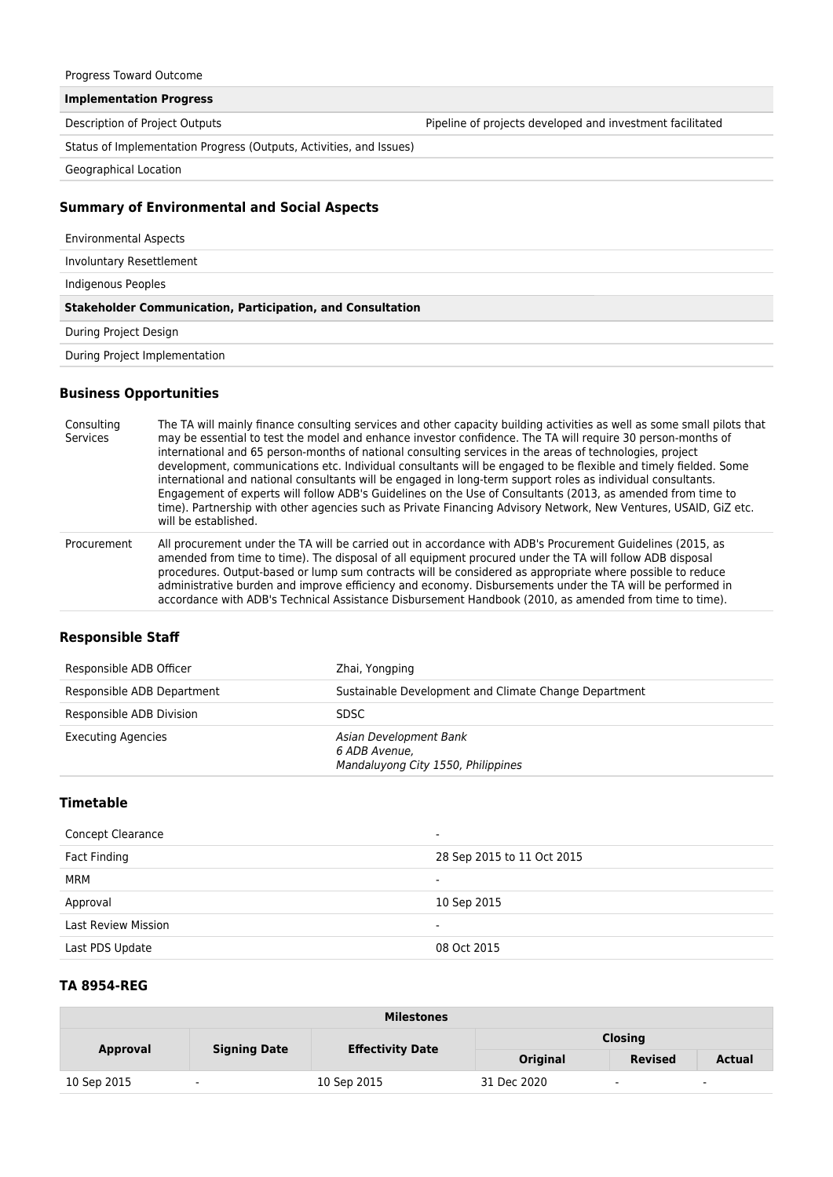Progress Toward Outcome

**Implementation Progress**

Description of Project Outputs Pipeline of projects developed and investment facilitated

Status of Implementation Progress (Outputs, Activities, and Issues)

Geographical Location

#### **Summary of Environmental and Social Aspects**

| <b>Environmental Aspects</b>                                      |  |
|-------------------------------------------------------------------|--|
| Involuntary Resettlement                                          |  |
| Indigenous Peoples                                                |  |
|                                                                   |  |
| <b>Stakeholder Communication, Participation, and Consultation</b> |  |
| During Project Design                                             |  |

#### **Business Opportunities**

Consulting Services The TA will mainly finance consulting services and other capacity building activities as well as some small pilots that may be essential to test the model and enhance investor confidence. The TA will require 30 person-months of international and 65 person-months of national consulting services in the areas of technologies, project development, communications etc. Individual consultants will be engaged to be flexible and timely fielded. Some international and national consultants will be engaged in long-term support roles as individual consultants. Engagement of experts will follow ADB's Guidelines on the Use of Consultants (2013, as amended from time to time). Partnership with other agencies such as Private Financing Advisory Network, New Ventures, USAID, GiZ etc. will be established.

Procurement All procurement under the TA will be carried out in accordance with ADB's Procurement Guidelines (2015, as amended from time to time). The disposal of all equipment procured under the TA will follow ADB disposal procedures. Output-based or lump sum contracts will be considered as appropriate where possible to reduce administrative burden and improve efficiency and economy. Disbursements under the TA will be performed in accordance with ADB's Technical Assistance Disbursement Handbook (2010, as amended from time to time).

## **Responsible Staff**

| Responsible ADB Officer    | Zhai, Yongping                                                                |
|----------------------------|-------------------------------------------------------------------------------|
| Responsible ADB Department | Sustainable Development and Climate Change Department                         |
| Responsible ADB Division   | <b>SDSC</b>                                                                   |
| <b>Executing Agencies</b>  | Asian Development Bank<br>6 ADB Avenue.<br>Mandaluyong City 1550, Philippines |

# **Timetable**

| Concept Clearance          | $\overline{\phantom{a}}$   |
|----------------------------|----------------------------|
| Fact Finding               | 28 Sep 2015 to 11 Oct 2015 |
| MRM                        | $\,$ $\,$                  |
| Approval                   | 10 Sep 2015                |
| <b>Last Review Mission</b> | $\overline{\phantom{a}}$   |
| Last PDS Update            | 08 Oct 2015                |

### **TA 8954-REG**

| <b>Milestones</b> |                     |                         |                 |                          |               |
|-------------------|---------------------|-------------------------|-----------------|--------------------------|---------------|
|                   | <b>Signing Date</b> | <b>Effectivity Date</b> | <b>Closing</b>  |                          |               |
| Approval          |                     |                         | <b>Original</b> | <b>Revised</b>           | <b>Actual</b> |
| 10 Sep 2015       | $\blacksquare$      | 10 Sep 2015             | 31 Dec 2020     | $\overline{\phantom{a}}$ | $\sim$        |